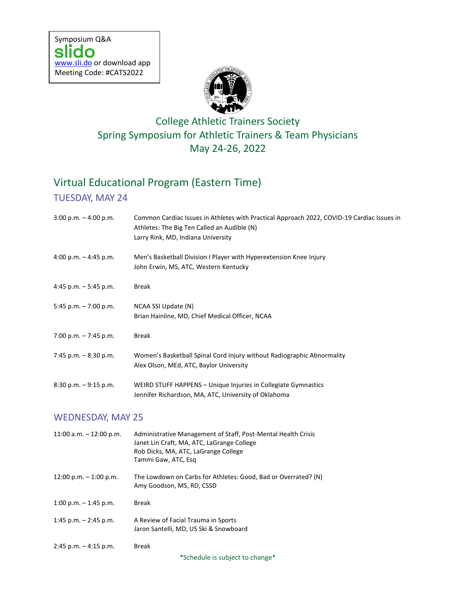

## College Athletic Trainers Society Spring Symposium for Athletic Trainers & Team Physicians May 24-26, 2022

# Virtual Educational Program (Eastern Time)

### TUESDAY, MAY 24

2:45 p.m. – 4:15 p.m. Break

| $3:00$ p.m. $-4:00$ p.m.  | Common Cardiac Issues in Athletes with Practical Approach 2022, COVID-19 Cardiac Issues in<br>Athletes: The Big Ten Called an Audible (N)<br>Larry Rink, MD, Indiana University |  |
|---------------------------|---------------------------------------------------------------------------------------------------------------------------------------------------------------------------------|--|
| 4:00 p.m. $-$ 4:45 p.m.   | Men's Basketball Division I Player with Hyperextension Knee Injury<br>John Erwin, MS, ATC, Western Kentucky                                                                     |  |
| 4:45 p.m. $-5:45$ p.m.    | <b>Break</b>                                                                                                                                                                    |  |
| 5:45 p.m. $-7:00$ p.m.    | NCAA SSI Update (N)<br>Brian Hainline, MD, Chief Medical Officer, NCAA                                                                                                          |  |
| 7:00 p.m. - 7:45 p.m.     | <b>Break</b>                                                                                                                                                                    |  |
| 7:45 p.m. $-8:30$ p.m.    | Women's Basketball Spinal Cord Injury without Radiographic Abnormality<br>Alex Olson, MEd, ATC, Baylor University                                                               |  |
| 8:30 p.m. - 9:15 p.m.     | WEIRD STUFF HAPPENS - Unique Injuries in Collegiate Gymnastics<br>Jennifer Richardson, MA, ATC, University of Oklahoma                                                          |  |
| <b>WEDNESDAY, MAY 25</b>  |                                                                                                                                                                                 |  |
| 11:00 a.m. $-$ 12:00 p.m. | Administrative Management of Staff, Post-Mental Health Crisis<br>Janet Lin Craft, MA, ATC, LaGrange College<br>Rob Dicks, MA, ATC, LaGrange College<br>Tammi Gaw, ATC, Esq      |  |
| 12:00 p.m. $-$ 1:00 p.m.  | The Lowdown on Carbs for Athletes: Good, Bad or Overrated? (N)<br>Amy Goodson, MS, RD, CSSD                                                                                     |  |
| 1:00 p.m. $-$ 1:45 p.m.   | <b>Break</b>                                                                                                                                                                    |  |
| 1:45 p.m. $-$ 2:45 p.m.   | A Review of Facial Trauma in Sports<br>Jaron Santelli, MD, US Ski & Snowboard                                                                                                   |  |

\*Schedule is subject to change\*